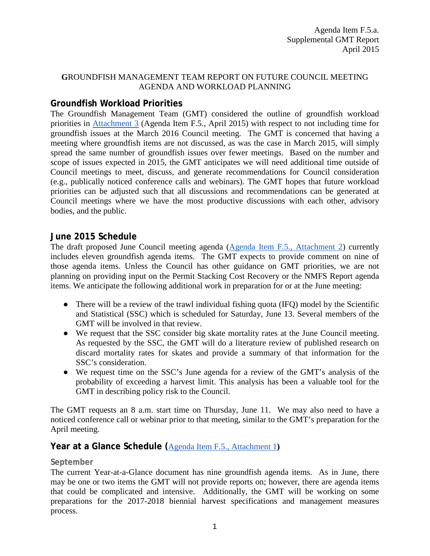### **G**ROUNDFISH MANAGEMENT TEAM REPORT ON FUTURE COUNCIL MEETING AGENDA AND WORKLOAD PLANNING

# **Groundfish Workload Priorities**

The Groundfish Management Team (GMT) considered the outline of groundfish workload priorities in [Attachment 3](http://www.pcouncil.org/wp-content/uploads/2015/03/F5_Att3_GFworkload_APR2015BB.pdf) (Agenda Item F.5., April 2015) with respect to not including time for groundfish issues at the March 2016 Council meeting. The GMT is concerned that having a meeting where groundfish items are not discussed, as was the case in March 2015, will simply spread the same number of groundfish issues over fewer meetings. Based on the number and scope of issues expected in 2015, the GMT anticipates we will need additional time outside of Council meetings to meet, discuss, and generate recommendations for Council consideration (e.g., publically noticed conference calls and webinars). The GMT hopes that future workload priorities can be adjusted such that all discussions and recommendations can be generated at Council meetings where we have the most productive discussions with each other, advisory bodies, and the public.

## **June 2015 Schedule**

The draft proposed June Council meeting agenda [\(Agenda Item F.5., Attachment 2\)](http://www.pcouncil.org/wp-content/uploads/2015/03/F5_Att2_JunQR_APR2015BB.pdf) currently includes eleven groundfish agenda items. The GMT expects to provide comment on nine of those agenda items. Unless the Council has other guidance on GMT priorities, we are not planning on providing input on the Permit Stacking Cost Recovery or the NMFS Report agenda items. We anticipate the following additional work in preparation for or at the June meeting:

- There will be a review of the trawl individual fishing quota (IFQ) model by the Scientific and Statistical (SSC) which is scheduled for Saturday, June 13. Several members of the GMT will be involved in that review.
- We request that the SSC consider big skate mortality rates at the June Council meeting. As requested by the SSC, the GMT will do a literature review of published research on discard mortality rates for skates and provide a summary of that information for the SSC's consideration.
- We request time on the SSC's June agenda for a review of the GMT's analysis of the probability of exceeding a harvest limit. This analysis has been a valuable tool for the GMT in describing policy risk to the Council.

The GMT requests an 8 a.m. start time on Thursday, June 11. We may also need to have a noticed conference call or webinar prior to that meeting, similar to the GMT's preparation for the April meeting.

## **Year at a Glance Schedule (**[Agenda Item F.5., Attachment 1](http://www.pcouncil.org/wp-content/uploads/2015/03/F5_Att1_YAG_APR2015BB.pdf)**)**

#### **September**

The current Year-at-a-Glance document has nine groundfish agenda items. As in June, there may be one or two items the GMT will not provide reports on; however, there are agenda items that could be complicated and intensive. Additionally, the GMT will be working on some preparations for the 2017-2018 biennial harvest specifications and management measures process.